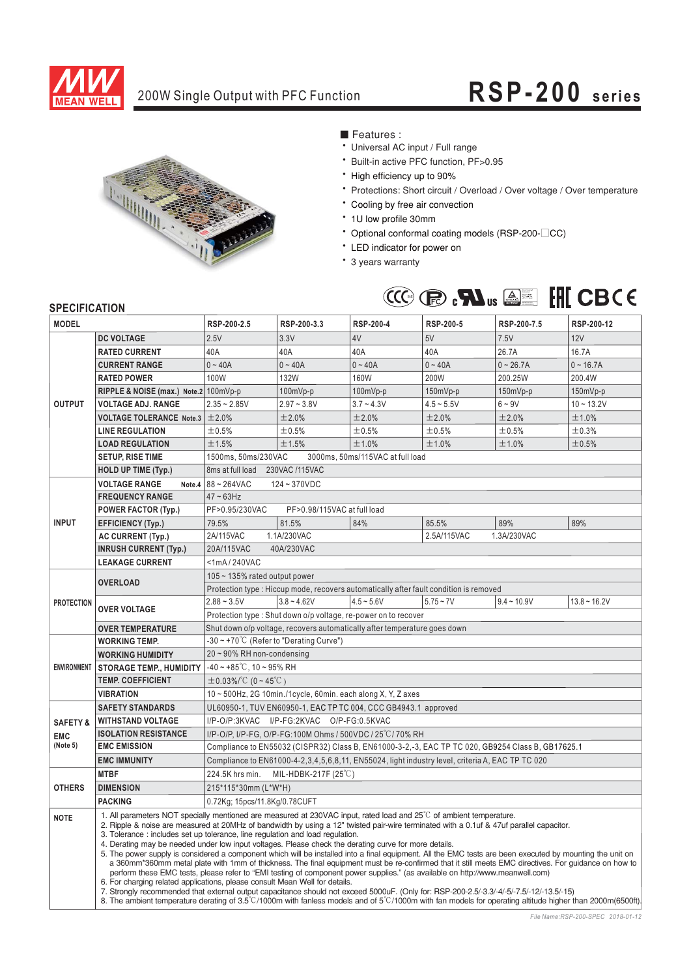

# 200W Single Output with PFC Function **RSP-200 series**



■ Features :

- Universal AC input / Full range
- \* Built-in active PFC function, PF>0.95
- \* High efficiency up to 90%
- \* Protections: Short circuit / Overload / Over voltage / Over temperature
- \* Cooling by free air convection
- \* 1U low profile 30mm
- \* Optional conformal coating models (RSP-200-<sup>CC</sup>)
- \* LED indicator for power on
- \* 3 years warranty



### **SPECIFICATION**

| וועווחטווועם וט<br><b>MODEL</b> |                                                                                                                                                                                                                                                                                                                                                                                                                                                                                                                                                                                                                                                                                                                                                                                                                                                                                                                                                                                                                                                                                                                                                                                                                                                                                                         | RSP-200-2.5                                                                                                 | RSP-200-3.3                 | <b>RSP-200-4</b> | RSP-200-5                                                                              | RSP-200-7.5   | RSP-200-12     |  |  |  |
|---------------------------------|---------------------------------------------------------------------------------------------------------------------------------------------------------------------------------------------------------------------------------------------------------------------------------------------------------------------------------------------------------------------------------------------------------------------------------------------------------------------------------------------------------------------------------------------------------------------------------------------------------------------------------------------------------------------------------------------------------------------------------------------------------------------------------------------------------------------------------------------------------------------------------------------------------------------------------------------------------------------------------------------------------------------------------------------------------------------------------------------------------------------------------------------------------------------------------------------------------------------------------------------------------------------------------------------------------|-------------------------------------------------------------------------------------------------------------|-----------------------------|------------------|----------------------------------------------------------------------------------------|---------------|----------------|--|--|--|
|                                 | <b>DC VOLTAGE</b>                                                                                                                                                                                                                                                                                                                                                                                                                                                                                                                                                                                                                                                                                                                                                                                                                                                                                                                                                                                                                                                                                                                                                                                                                                                                                       | 2.5V                                                                                                        | 3.3V                        | 4V               | 5V                                                                                     | 7.5V          | 12V            |  |  |  |
| <b>OUTPUT</b>                   | <b>RATED CURRENT</b>                                                                                                                                                                                                                                                                                                                                                                                                                                                                                                                                                                                                                                                                                                                                                                                                                                                                                                                                                                                                                                                                                                                                                                                                                                                                                    | 40A                                                                                                         | 40A                         | 40A              | 40A                                                                                    | 26.7A         | 16.7A          |  |  |  |
|                                 | <b>CURRENT RANGE</b>                                                                                                                                                                                                                                                                                                                                                                                                                                                                                                                                                                                                                                                                                                                                                                                                                                                                                                                                                                                                                                                                                                                                                                                                                                                                                    | $0 - 40A$                                                                                                   | $0 - 40A$                   | $0 - 40A$        | $0 - 40A$                                                                              | $0 - 26.7A$   | $0 - 16.7A$    |  |  |  |
|                                 | <b>RATED POWER</b>                                                                                                                                                                                                                                                                                                                                                                                                                                                                                                                                                                                                                                                                                                                                                                                                                                                                                                                                                                                                                                                                                                                                                                                                                                                                                      | 100W                                                                                                        | 132W                        | 160W             | 200W                                                                                   | 200.25W       | 200.4W         |  |  |  |
|                                 | RIPPLE & NOISE (max.) Note.2 100mVp-p                                                                                                                                                                                                                                                                                                                                                                                                                                                                                                                                                                                                                                                                                                                                                                                                                                                                                                                                                                                                                                                                                                                                                                                                                                                                   |                                                                                                             | 100mVp-p                    | 100mVp-p         | 150mVp-p                                                                               | 150mVp-p      | 150mVp-p       |  |  |  |
|                                 | <b>VOLTAGE ADJ. RANGE</b>                                                                                                                                                                                                                                                                                                                                                                                                                                                                                                                                                                                                                                                                                                                                                                                                                                                                                                                                                                                                                                                                                                                                                                                                                                                                               | $2.35 - 2.85V$                                                                                              | $2.97 - 3.8V$               | $3.7 - 4.3V$     | $4.5 - 5.5V$                                                                           | $6 - 9V$      | $10 - 13.2V$   |  |  |  |
|                                 | <b>VOLTAGE TOLERANCE Note.3</b>                                                                                                                                                                                                                                                                                                                                                                                                                                                                                                                                                                                                                                                                                                                                                                                                                                                                                                                                                                                                                                                                                                                                                                                                                                                                         | ±2.0%                                                                                                       | ±2.0%                       | ±2.0%            | ±2.0%                                                                                  | ±2.0%         | ±1.0%          |  |  |  |
|                                 | <b>LINE REGULATION</b>                                                                                                                                                                                                                                                                                                                                                                                                                                                                                                                                                                                                                                                                                                                                                                                                                                                                                                                                                                                                                                                                                                                                                                                                                                                                                  | ±0.5%                                                                                                       | ±0.5%                       | ±0.5%            | ±0.5%                                                                                  | ±0.5%         | ±0.3%          |  |  |  |
|                                 | <b>LOAD REGULATION</b>                                                                                                                                                                                                                                                                                                                                                                                                                                                                                                                                                                                                                                                                                                                                                                                                                                                                                                                                                                                                                                                                                                                                                                                                                                                                                  | ±1.5%                                                                                                       | ±1.5%                       | ±1.0%            | ±1.0%                                                                                  | ±1.0%         | ±0.5%          |  |  |  |
|                                 | <b>SETUP, RISE TIME</b>                                                                                                                                                                                                                                                                                                                                                                                                                                                                                                                                                                                                                                                                                                                                                                                                                                                                                                                                                                                                                                                                                                                                                                                                                                                                                 |                                                                                                             |                             |                  |                                                                                        |               |                |  |  |  |
|                                 |                                                                                                                                                                                                                                                                                                                                                                                                                                                                                                                                                                                                                                                                                                                                                                                                                                                                                                                                                                                                                                                                                                                                                                                                                                                                                                         | 1500ms, 50ms/230VAC<br>3000ms, 50ms/115VAC at full load                                                     |                             |                  |                                                                                        |               |                |  |  |  |
|                                 | <b>HOLD UP TIME (Typ.)</b>                                                                                                                                                                                                                                                                                                                                                                                                                                                                                                                                                                                                                                                                                                                                                                                                                                                                                                                                                                                                                                                                                                                                                                                                                                                                              | 8ms at full load 230VAC /115VAC                                                                             |                             |                  |                                                                                        |               |                |  |  |  |
| <b>INPUT</b>                    | <b>VOLTAGE RANGE</b><br>Note.4                                                                                                                                                                                                                                                                                                                                                                                                                                                                                                                                                                                                                                                                                                                                                                                                                                                                                                                                                                                                                                                                                                                                                                                                                                                                          | 88~264VAC<br>$124 - 370VDC$                                                                                 |                             |                  |                                                                                        |               |                |  |  |  |
|                                 | <b>FREQUENCY RANGE</b>                                                                                                                                                                                                                                                                                                                                                                                                                                                                                                                                                                                                                                                                                                                                                                                                                                                                                                                                                                                                                                                                                                                                                                                                                                                                                  | $47 - 63$ Hz                                                                                                |                             |                  |                                                                                        |               |                |  |  |  |
|                                 | <b>POWER FACTOR (Typ.)</b>                                                                                                                                                                                                                                                                                                                                                                                                                                                                                                                                                                                                                                                                                                                                                                                                                                                                                                                                                                                                                                                                                                                                                                                                                                                                              | PF>0.95/230VAC                                                                                              | PF>0.98/115VAC at full load |                  |                                                                                        |               |                |  |  |  |
|                                 | <b>EFFICIENCY (Typ.)</b>                                                                                                                                                                                                                                                                                                                                                                                                                                                                                                                                                                                                                                                                                                                                                                                                                                                                                                                                                                                                                                                                                                                                                                                                                                                                                | 79.5%                                                                                                       | 81.5%                       | 84%              | 85.5%                                                                                  | 89%           | 89%            |  |  |  |
|                                 | <b>AC CURRENT (Typ.)</b>                                                                                                                                                                                                                                                                                                                                                                                                                                                                                                                                                                                                                                                                                                                                                                                                                                                                                                                                                                                                                                                                                                                                                                                                                                                                                | 2A/115VAC<br>1.1A/230VAC<br>2.5A/115VAC<br>1.3A/230VAC                                                      |                             |                  |                                                                                        |               |                |  |  |  |
|                                 | <b>INRUSH CURRENT (Typ.)</b>                                                                                                                                                                                                                                                                                                                                                                                                                                                                                                                                                                                                                                                                                                                                                                                                                                                                                                                                                                                                                                                                                                                                                                                                                                                                            | 20A/115VAC<br>40A/230VAC                                                                                    |                             |                  |                                                                                        |               |                |  |  |  |
|                                 | <b>LEAKAGE CURRENT</b>                                                                                                                                                                                                                                                                                                                                                                                                                                                                                                                                                                                                                                                                                                                                                                                                                                                                                                                                                                                                                                                                                                                                                                                                                                                                                  | <1mA/240VAC                                                                                                 |                             |                  |                                                                                        |               |                |  |  |  |
|                                 | <b>OVERLOAD</b>                                                                                                                                                                                                                                                                                                                                                                                                                                                                                                                                                                                                                                                                                                                                                                                                                                                                                                                                                                                                                                                                                                                                                                                                                                                                                         | $105 \sim 135\%$ rated output power                                                                         |                             |                  |                                                                                        |               |                |  |  |  |
|                                 |                                                                                                                                                                                                                                                                                                                                                                                                                                                                                                                                                                                                                                                                                                                                                                                                                                                                                                                                                                                                                                                                                                                                                                                                                                                                                                         |                                                                                                             |                             |                  | Protection type : Hiccup mode, recovers automatically after fault condition is removed |               |                |  |  |  |
| <b>PROTECTION</b>               | <b>OVER VOLTAGE</b>                                                                                                                                                                                                                                                                                                                                                                                                                                                                                                                                                                                                                                                                                                                                                                                                                                                                                                                                                                                                                                                                                                                                                                                                                                                                                     | $2.88 - 3.5V$                                                                                               | $3.8 - 4.62V$               | $4.5 - 5.6V$     | $5.75 - 7V$                                                                            | $9.4 - 10.9V$ | $13.8 - 16.2V$ |  |  |  |
|                                 |                                                                                                                                                                                                                                                                                                                                                                                                                                                                                                                                                                                                                                                                                                                                                                                                                                                                                                                                                                                                                                                                                                                                                                                                                                                                                                         | Protection type: Shut down o/p voltage, re-power on to recover                                              |                             |                  |                                                                                        |               |                |  |  |  |
|                                 | <b>OVER TEMPERATURE</b>                                                                                                                                                                                                                                                                                                                                                                                                                                                                                                                                                                                                                                                                                                                                                                                                                                                                                                                                                                                                                                                                                                                                                                                                                                                                                 | Shut down o/p voltage, recovers automatically after temperature goes down                                   |                             |                  |                                                                                        |               |                |  |  |  |
|                                 | <b>WORKING TEMP.</b>                                                                                                                                                                                                                                                                                                                                                                                                                                                                                                                                                                                                                                                                                                                                                                                                                                                                                                                                                                                                                                                                                                                                                                                                                                                                                    | $-30 \sim +70^{\circ}$ C (Refer to "Derating Curve")                                                        |                             |                  |                                                                                        |               |                |  |  |  |
|                                 | <b>WORKING HUMIDITY</b>                                                                                                                                                                                                                                                                                                                                                                                                                                                                                                                                                                                                                                                                                                                                                                                                                                                                                                                                                                                                                                                                                                                                                                                                                                                                                 | 20~90% RH non-condensing                                                                                    |                             |                  |                                                                                        |               |                |  |  |  |
| <b>ENVIRONMENT</b>              | <b>STORAGE TEMP., HUMIDITY</b>                                                                                                                                                                                                                                                                                                                                                                                                                                                                                                                                                                                                                                                                                                                                                                                                                                                                                                                                                                                                                                                                                                                                                                                                                                                                          | $-40 \sim +85^{\circ}$ C, 10 ~ 95% RH                                                                       |                             |                  |                                                                                        |               |                |  |  |  |
|                                 | <b>TEMP, COEFFICIENT</b>                                                                                                                                                                                                                                                                                                                                                                                                                                                                                                                                                                                                                                                                                                                                                                                                                                                                                                                                                                                                                                                                                                                                                                                                                                                                                | $\pm$ 0.03%/°C (0~45°C)<br>10~500Hz, 2G 10min./1cycle, 60min. each along X, Y, Z axes                       |                             |                  |                                                                                        |               |                |  |  |  |
|                                 | <b>VIBRATION</b>                                                                                                                                                                                                                                                                                                                                                                                                                                                                                                                                                                                                                                                                                                                                                                                                                                                                                                                                                                                                                                                                                                                                                                                                                                                                                        |                                                                                                             |                             |                  |                                                                                        |               |                |  |  |  |
|                                 | <b>SAFETY STANDARDS</b>                                                                                                                                                                                                                                                                                                                                                                                                                                                                                                                                                                                                                                                                                                                                                                                                                                                                                                                                                                                                                                                                                                                                                                                                                                                                                 | UL60950-1, TUV EN60950-1, EAC TP TC 004, CCC GB4943.1 approved<br>I/P-O/P:3KVAC I/P-FG:2KVAC O/P-FG:0.5KVAC |                             |                  |                                                                                        |               |                |  |  |  |
| <b>SAFETY &amp;</b>             | <b>WITHSTAND VOLTAGE</b>                                                                                                                                                                                                                                                                                                                                                                                                                                                                                                                                                                                                                                                                                                                                                                                                                                                                                                                                                                                                                                                                                                                                                                                                                                                                                |                                                                                                             |                             |                  |                                                                                        |               |                |  |  |  |
| <b>EMC</b>                      | <b>ISOLATION RESISTANCE</b>                                                                                                                                                                                                                                                                                                                                                                                                                                                                                                                                                                                                                                                                                                                                                                                                                                                                                                                                                                                                                                                                                                                                                                                                                                                                             | I/P-O/P, I/P-FG, O/P-FG:100M Ohms / 500VDC / 25°C/70% RH                                                    |                             |                  |                                                                                        |               |                |  |  |  |
| (Note 5)                        | <b>EMC EMISSION</b>                                                                                                                                                                                                                                                                                                                                                                                                                                                                                                                                                                                                                                                                                                                                                                                                                                                                                                                                                                                                                                                                                                                                                                                                                                                                                     | Compliance to EN55032 (CISPR32) Class B, EN61000-3-2,-3, EAC TP TC 020, GB9254 Class B, GB17625.1           |                             |                  |                                                                                        |               |                |  |  |  |
|                                 | <b>EMC IMMUNITY</b>                                                                                                                                                                                                                                                                                                                                                                                                                                                                                                                                                                                                                                                                                                                                                                                                                                                                                                                                                                                                                                                                                                                                                                                                                                                                                     | Compliance to EN61000-4-2, 3, 4, 5, 6, 8, 11, EN55024, light industry level, criteria A, EAC TP TC 020      |                             |                  |                                                                                        |               |                |  |  |  |
| <b>OTHERS</b>                   | <b>MTBF</b>                                                                                                                                                                                                                                                                                                                                                                                                                                                                                                                                                                                                                                                                                                                                                                                                                                                                                                                                                                                                                                                                                                                                                                                                                                                                                             | 224.5K hrs min.<br>MIL-HDBK-217F $(25^{\circ}C)$                                                            |                             |                  |                                                                                        |               |                |  |  |  |
|                                 | <b>DIMENSION</b>                                                                                                                                                                                                                                                                                                                                                                                                                                                                                                                                                                                                                                                                                                                                                                                                                                                                                                                                                                                                                                                                                                                                                                                                                                                                                        | 215*115*30mm (L*W*H)                                                                                        |                             |                  |                                                                                        |               |                |  |  |  |
|                                 | <b>PACKING</b>                                                                                                                                                                                                                                                                                                                                                                                                                                                                                                                                                                                                                                                                                                                                                                                                                                                                                                                                                                                                                                                                                                                                                                                                                                                                                          | 0.72Kg; 15pcs/11.8Kg/0.78CUFT                                                                               |                             |                  |                                                                                        |               |                |  |  |  |
| <b>NOTE</b>                     | 1. All parameters NOT specially mentioned are measured at 230VAC input, rated load and 25°C of ambient temperature.<br>2. Ripple & noise are measured at 20MHz of bandwidth by using a 12" twisted pair-wire terminated with a 0.1uf & 47uf parallel capacitor.<br>3. Tolerance: includes set up tolerance, line regulation and load regulation.<br>4. Derating may be needed under low input voltages. Please check the derating curve for more details.<br>5. The power supply is considered a component which will be installed into a final equipment. All the EMC tests are been executed by mounting the unit on<br>a 360mm*360mm metal plate with 1mm of thickness. The final equipment must be re-confirmed that it still meets EMC directives. For quidance on how to<br>perform these EMC tests, please refer to "EMI testing of component power supplies." (as available on http://www.meanwell.com)<br>6. For charging related applications, please consult Mean Well for details.<br>7. Strongly recommended that external output capacitance should not exceed 5000uF. (Only for: RSP-200-2.5/-3.3/-4/-5/-7.5/-12/-13.5/-15)<br>8. The ambient temperature derating of 3.5°C/1000m with fanless models and of 5°C/1000m with fan models for operating altitude higher than 2000m(6500ft). |                                                                                                             |                             |                  |                                                                                        |               |                |  |  |  |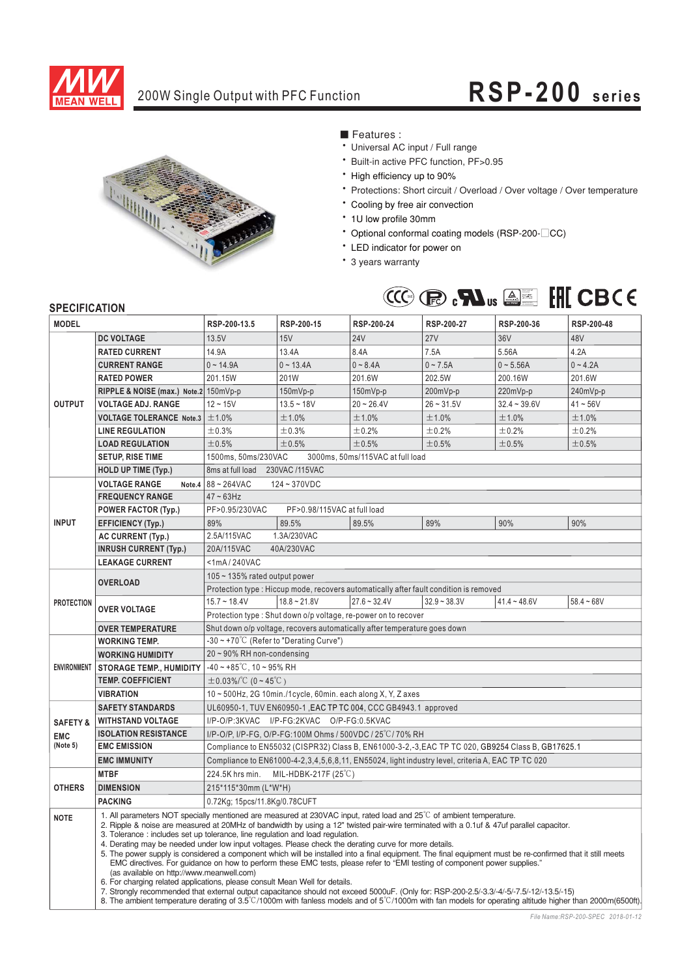

# 200W Single Output with PFC Function **RSP-200 series**



■ Features :

- Universal AC input / Full range
- \* Built-in active PFC function, PF>0.95
- \* High efficiency up to 90%
- \* Protections: Short circuit / Overload / Over voltage / Over temperature
- \* Cooling by free air convection
- \* 1U low profile 30mm
- \* Optional conformal coating models (RSP-200-<sup>CC</sup>)
- \* LED indicator for power on
- \* 3 years warranty



### **SPECIFICATION**

| <b>MODEL</b>        |                                                                                                                                                                                                                                                                                                                                                                                                                                                                                                                                                                                                                                                                                                                                                                                                                                                                                                                                                                                                                                                                                                                                                                                                                              | RSP-200-13.5                                                                                      | RSP-200-15                                | RSP-200-24     | RSP-200-27     | RSP-200-36     | RSP-200-48   |  |  |  |  |
|---------------------|------------------------------------------------------------------------------------------------------------------------------------------------------------------------------------------------------------------------------------------------------------------------------------------------------------------------------------------------------------------------------------------------------------------------------------------------------------------------------------------------------------------------------------------------------------------------------------------------------------------------------------------------------------------------------------------------------------------------------------------------------------------------------------------------------------------------------------------------------------------------------------------------------------------------------------------------------------------------------------------------------------------------------------------------------------------------------------------------------------------------------------------------------------------------------------------------------------------------------|---------------------------------------------------------------------------------------------------|-------------------------------------------|----------------|----------------|----------------|--------------|--|--|--|--|
|                     | <b>DC VOLTAGE</b>                                                                                                                                                                                                                                                                                                                                                                                                                                                                                                                                                                                                                                                                                                                                                                                                                                                                                                                                                                                                                                                                                                                                                                                                            | 13.5V                                                                                             | 15V                                       | <b>24V</b>     | <b>27V</b>     | 36V            | 48V          |  |  |  |  |
| <b>OUTPUT</b>       | <b>RATED CURRENT</b>                                                                                                                                                                                                                                                                                                                                                                                                                                                                                                                                                                                                                                                                                                                                                                                                                                                                                                                                                                                                                                                                                                                                                                                                         | 14.9A                                                                                             | 13.4A                                     | 8.4A           | 7.5A           | 5.56A          | 4.2A         |  |  |  |  |
|                     | <b>CURRENT RANGE</b>                                                                                                                                                                                                                                                                                                                                                                                                                                                                                                                                                                                                                                                                                                                                                                                                                                                                                                                                                                                                                                                                                                                                                                                                         | $0 - 14.9A$                                                                                       | $0 - 13.4A$                               | $0 - 8.4A$     | $0 - 7.5A$     | $0 - 5.56A$    | $0 - 4.2A$   |  |  |  |  |
|                     | <b>RATED POWER</b>                                                                                                                                                                                                                                                                                                                                                                                                                                                                                                                                                                                                                                                                                                                                                                                                                                                                                                                                                                                                                                                                                                                                                                                                           | 201.15W                                                                                           | 201W                                      | 201.6W         | 202.5W         | 200.16W        | 201.6W       |  |  |  |  |
|                     | RIPPLE & NOISE (max.) Note.2 150mVp-p                                                                                                                                                                                                                                                                                                                                                                                                                                                                                                                                                                                                                                                                                                                                                                                                                                                                                                                                                                                                                                                                                                                                                                                        |                                                                                                   | $150mVp-p$                                | $150mVp-p$     | 200mVp-p       | 220mVp-p       | 240mVp-p     |  |  |  |  |
|                     | <b>VOLTAGE ADJ. RANGE</b>                                                                                                                                                                                                                                                                                                                                                                                                                                                                                                                                                                                                                                                                                                                                                                                                                                                                                                                                                                                                                                                                                                                                                                                                    | $12 - 15V$                                                                                        | $13.5 - 18V$                              | $20 - 26.4V$   | $26 - 31.5V$   | $32.4 - 39.6V$ | $41 - 56V$   |  |  |  |  |
|                     | <b>VOLTAGE TOLERANCE Note.3</b>                                                                                                                                                                                                                                                                                                                                                                                                                                                                                                                                                                                                                                                                                                                                                                                                                                                                                                                                                                                                                                                                                                                                                                                              | $\pm 1.0\%$                                                                                       | ±1.0%                                     | ±1.0%          | ±1.0%          | ±1.0%          | ±1.0%        |  |  |  |  |
|                     | <b>LINE REGULATION</b>                                                                                                                                                                                                                                                                                                                                                                                                                                                                                                                                                                                                                                                                                                                                                                                                                                                                                                                                                                                                                                                                                                                                                                                                       | ±0.3%                                                                                             | ±0.3%                                     | ±0.2%          | ±0.2%          | ±0.2%          | ±0.2%        |  |  |  |  |
|                     | <b>LOAD REGULATION</b>                                                                                                                                                                                                                                                                                                                                                                                                                                                                                                                                                                                                                                                                                                                                                                                                                                                                                                                                                                                                                                                                                                                                                                                                       | ±0.5%                                                                                             | ±0.5%                                     | ±0.5%          | ±0.5%          | ±0.5%          | ±0.5%        |  |  |  |  |
|                     | <b>SETUP, RISE TIME</b>                                                                                                                                                                                                                                                                                                                                                                                                                                                                                                                                                                                                                                                                                                                                                                                                                                                                                                                                                                                                                                                                                                                                                                                                      | 1500ms, 50ms/230VAC<br>3000ms, 50ms/115VAC at full load                                           |                                           |                |                |                |              |  |  |  |  |
|                     | <b>HOLD UP TIME (Typ.)</b>                                                                                                                                                                                                                                                                                                                                                                                                                                                                                                                                                                                                                                                                                                                                                                                                                                                                                                                                                                                                                                                                                                                                                                                                   | 230VAC /115VAC<br>8ms at full load                                                                |                                           |                |                |                |              |  |  |  |  |
|                     | <b>VOLTAGE RANGE</b><br>Note.4                                                                                                                                                                                                                                                                                                                                                                                                                                                                                                                                                                                                                                                                                                                                                                                                                                                                                                                                                                                                                                                                                                                                                                                               | 88~264VAC<br>124~370VDC                                                                           |                                           |                |                |                |              |  |  |  |  |
| <b>INPUT</b>        | <b>FREQUENCY RANGE</b>                                                                                                                                                                                                                                                                                                                                                                                                                                                                                                                                                                                                                                                                                                                                                                                                                                                                                                                                                                                                                                                                                                                                                                                                       | $47 \sim 63$ Hz                                                                                   |                                           |                |                |                |              |  |  |  |  |
|                     | <b>POWER FACTOR (Typ.)</b>                                                                                                                                                                                                                                                                                                                                                                                                                                                                                                                                                                                                                                                                                                                                                                                                                                                                                                                                                                                                                                                                                                                                                                                                   | PF>0.95/230VAC<br>PF>0.98/115VAC at full load                                                     |                                           |                |                |                |              |  |  |  |  |
|                     | <b>EFFICIENCY (Typ.)</b>                                                                                                                                                                                                                                                                                                                                                                                                                                                                                                                                                                                                                                                                                                                                                                                                                                                                                                                                                                                                                                                                                                                                                                                                     | 89%                                                                                               | 89.5%                                     | 89.5%          | 89%            | 90%            | 90%          |  |  |  |  |
|                     | <b>AC CURRENT (Typ.)</b>                                                                                                                                                                                                                                                                                                                                                                                                                                                                                                                                                                                                                                                                                                                                                                                                                                                                                                                                                                                                                                                                                                                                                                                                     | 2.5A/115VAC                                                                                       | 1.3A/230VAC                               |                |                |                |              |  |  |  |  |
|                     | <b>INRUSH CURRENT (Typ.)</b>                                                                                                                                                                                                                                                                                                                                                                                                                                                                                                                                                                                                                                                                                                                                                                                                                                                                                                                                                                                                                                                                                                                                                                                                 | 20A/115VAC<br>40A/230VAC                                                                          |                                           |                |                |                |              |  |  |  |  |
|                     | <b>LEAKAGE CURRENT</b>                                                                                                                                                                                                                                                                                                                                                                                                                                                                                                                                                                                                                                                                                                                                                                                                                                                                                                                                                                                                                                                                                                                                                                                                       | <1mA/240VAC                                                                                       |                                           |                |                |                |              |  |  |  |  |
| <b>PROTECTION</b>   |                                                                                                                                                                                                                                                                                                                                                                                                                                                                                                                                                                                                                                                                                                                                                                                                                                                                                                                                                                                                                                                                                                                                                                                                                              | $105 \sim 135\%$ rated output power                                                               |                                           |                |                |                |              |  |  |  |  |
|                     | <b>OVERLOAD</b>                                                                                                                                                                                                                                                                                                                                                                                                                                                                                                                                                                                                                                                                                                                                                                                                                                                                                                                                                                                                                                                                                                                                                                                                              | Protection type: Hiccup mode, recovers automatically after fault condition is removed             |                                           |                |                |                |              |  |  |  |  |
|                     | <b>OVER VOLTAGE</b>                                                                                                                                                                                                                                                                                                                                                                                                                                                                                                                                                                                                                                                                                                                                                                                                                                                                                                                                                                                                                                                                                                                                                                                                          | $15.7 - 18.4V$                                                                                    | $18.8 \sim 21.8$ V                        | $27.6 - 32.4V$ | $32.9 - 38.3V$ | $41.4 - 48.6V$ | $58.4 - 68V$ |  |  |  |  |
|                     |                                                                                                                                                                                                                                                                                                                                                                                                                                                                                                                                                                                                                                                                                                                                                                                                                                                                                                                                                                                                                                                                                                                                                                                                                              | Protection type: Shut down o/p voltage, re-power on to recover                                    |                                           |                |                |                |              |  |  |  |  |
|                     | <b>OVER TEMPERATURE</b>                                                                                                                                                                                                                                                                                                                                                                                                                                                                                                                                                                                                                                                                                                                                                                                                                                                                                                                                                                                                                                                                                                                                                                                                      | Shut down o/p voltage, recovers automatically after temperature goes down                         |                                           |                |                |                |              |  |  |  |  |
| <b>ENVIRONMENT</b>  | <b>WORKING TEMP.</b>                                                                                                                                                                                                                                                                                                                                                                                                                                                                                                                                                                                                                                                                                                                                                                                                                                                                                                                                                                                                                                                                                                                                                                                                         | $-30 \sim +70^{\circ}$ C (Refer to "Derating Curve")                                              |                                           |                |                |                |              |  |  |  |  |
|                     | <b>WORKING HUMIDITY</b>                                                                                                                                                                                                                                                                                                                                                                                                                                                                                                                                                                                                                                                                                                                                                                                                                                                                                                                                                                                                                                                                                                                                                                                                      | 20~90% RH non-condensing                                                                          |                                           |                |                |                |              |  |  |  |  |
|                     | <b>STORAGE TEMP., HUMIDITY</b>                                                                                                                                                                                                                                                                                                                                                                                                                                                                                                                                                                                                                                                                                                                                                                                                                                                                                                                                                                                                                                                                                                                                                                                               | $-40 \sim +85^{\circ}$ C, 10 ~ 95% RH                                                             |                                           |                |                |                |              |  |  |  |  |
|                     | <b>TEMP. COEFFICIENT</b>                                                                                                                                                                                                                                                                                                                                                                                                                                                                                                                                                                                                                                                                                                                                                                                                                                                                                                                                                                                                                                                                                                                                                                                                     | $\pm$ 0.03%/°C (0 ~ 45°C)                                                                         |                                           |                |                |                |              |  |  |  |  |
|                     | <b>VIBRATION</b>                                                                                                                                                                                                                                                                                                                                                                                                                                                                                                                                                                                                                                                                                                                                                                                                                                                                                                                                                                                                                                                                                                                                                                                                             | 10~500Hz, 2G 10min./1cycle, 60min. each along X, Y, Z axes                                        |                                           |                |                |                |              |  |  |  |  |
|                     | <b>SAFETY STANDARDS</b><br>UL60950-1, TUV EN60950-1, EAC TP TC 004, CCC GB4943.1 approved                                                                                                                                                                                                                                                                                                                                                                                                                                                                                                                                                                                                                                                                                                                                                                                                                                                                                                                                                                                                                                                                                                                                    |                                                                                                   |                                           |                |                |                |              |  |  |  |  |
| <b>SAFETY &amp;</b> | <b>WITHSTAND VOLTAGE</b>                                                                                                                                                                                                                                                                                                                                                                                                                                                                                                                                                                                                                                                                                                                                                                                                                                                                                                                                                                                                                                                                                                                                                                                                     |                                                                                                   | I/P-O/P:3KVAC I/P-FG:2KVAC O/P-FG:0.5KVAC |                |                |                |              |  |  |  |  |
| <b>EMC</b>          | <b>ISOLATION RESISTANCE</b>                                                                                                                                                                                                                                                                                                                                                                                                                                                                                                                                                                                                                                                                                                                                                                                                                                                                                                                                                                                                                                                                                                                                                                                                  | I/P-O/P, I/P-FG, O/P-FG:100M Ohms / 500VDC / 25°C/70% RH                                          |                                           |                |                |                |              |  |  |  |  |
| (Note 5)            | <b>EMC EMISSION</b>                                                                                                                                                                                                                                                                                                                                                                                                                                                                                                                                                                                                                                                                                                                                                                                                                                                                                                                                                                                                                                                                                                                                                                                                          | Compliance to EN55032 (CISPR32) Class B, EN61000-3-2,-3, EAC TP TC 020, GB9254 Class B, GB17625.1 |                                           |                |                |                |              |  |  |  |  |
|                     | <b>EMC IMMUNITY</b>                                                                                                                                                                                                                                                                                                                                                                                                                                                                                                                                                                                                                                                                                                                                                                                                                                                                                                                                                                                                                                                                                                                                                                                                          | Compliance to EN61000-4-2,3,4,5,6,8,11, EN55024, light industry level, criteria A, EAC TP TC 020  |                                           |                |                |                |              |  |  |  |  |
|                     | <b>MTBF</b>                                                                                                                                                                                                                                                                                                                                                                                                                                                                                                                                                                                                                                                                                                                                                                                                                                                                                                                                                                                                                                                                                                                                                                                                                  | 224.5K hrs min.<br>MIL-HDBK-217F $(25^{\circ}C)$                                                  |                                           |                |                |                |              |  |  |  |  |
| <b>OTHERS</b>       | <b>DIMENSION</b>                                                                                                                                                                                                                                                                                                                                                                                                                                                                                                                                                                                                                                                                                                                                                                                                                                                                                                                                                                                                                                                                                                                                                                                                             | 215*115*30mm (L*W*H)                                                                              |                                           |                |                |                |              |  |  |  |  |
|                     | <b>PACKING</b>                                                                                                                                                                                                                                                                                                                                                                                                                                                                                                                                                                                                                                                                                                                                                                                                                                                                                                                                                                                                                                                                                                                                                                                                               | 0.72Kg; 15pcs/11.8Kg/0.78CUFT                                                                     |                                           |                |                |                |              |  |  |  |  |
| <b>NOTE</b>         | 1. All parameters NOT specially mentioned are measured at 230VAC input, rated load and 25 <sup>°</sup> C of ambient temperature.<br>2. Ripple & noise are measured at 20MHz of bandwidth by using a 12" twisted pair-wire terminated with a 0.1uf & 47uf parallel capacitor.<br>3. Tolerance : includes set up tolerance, line regulation and load regulation.<br>4. Derating may be needed under low input voltages. Please check the derating curve for more details.<br>5. The power supply is considered a component which will be installed into a final equipment. The final equipment must be re-confirmed that it still meets<br>EMC directives. For guidance on how to perform these EMC tests, please refer to "EMI testing of component power supplies."<br>(as available on http://www.meanwell.com)<br>6. For charging related applications, please consult Mean Well for details.<br>7. Strongly recommended that external output capacitance should not exceed 5000uF. (Only for: RSP-200-2.5/-3.3/-4/-5/-7.5/-12/-13.5/-15)<br>8. The ambient temperature derating of $3.5^{\circ}$ C/1000m with fanless models and of $5^{\circ}$ C/1000m with fan models for operating altitude higher than 2000m(6500ft). |                                                                                                   |                                           |                |                |                |              |  |  |  |  |